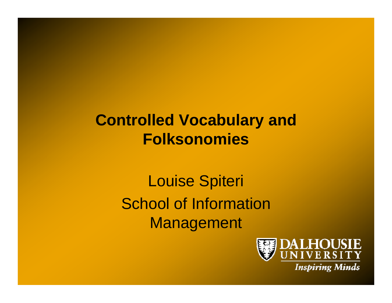## **Controlled Vocabulary and Folksonomies**

Louise Spiteri School of Information Management

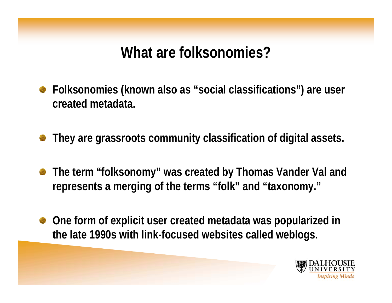## **What are folksonomies?**

- **Folksonomies (known also as "social classifications") are user created metadata.**
- **They are grassroots community classification of digital assets.**
- **The term "folksonomy" was created by Thomas Vander Val and**   $\mathbb{C}$ **represents a merging of the terms "folk" and "taxonomy."**
- **One form of explicit user created metadata was popularized in**   $\begin{pmatrix} 1 & 1 \\ 1 & 1 \end{pmatrix}$ **the late 1990s with link-focused websites called weblogs.**

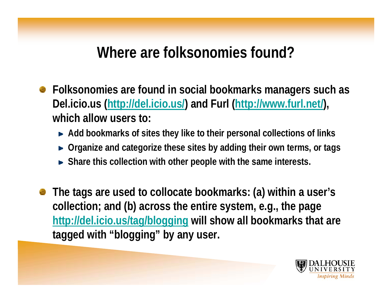### **Where are folksonomies found?**

- **Folksonomies are found in social bookmarks managers such as Del.icio.us (http://del.icio.us/) and Furl (http://www.furl.net/), which allow users to:**
	- **Add bookmarks of sites they like to their personal collections of links**
	- ► Organize and categorize these sites by adding their own terms, or tags
	- **Share this collection with other people with the same interests.**
- **The tags are used to collocate bookmarks: (a) within a user's collection; and (b) across the entire system, e.g., the page http://del.icio.us/tag/blogging will show all bookmarks that are tagged with "blogging" by any user.**

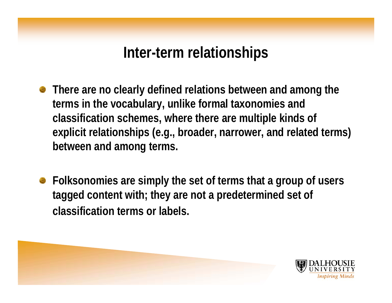### **Inter-term relationships**

- **There are no clearly defined relations between and among the terms in the vocabulary, unlike formal taxonomies and classification schemes, where there are multiple kinds of explicit relationships (e.g., broader, narrower, and related terms) between and among terms.**
- **Folksonomies are simply the set of terms that a group of users tagged content with; they are not a predetermined set of classification terms or labels.**

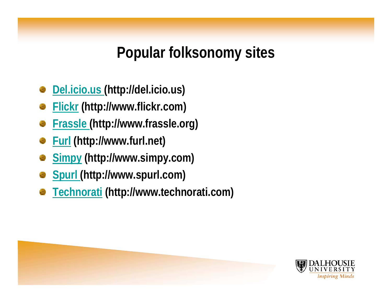# **Popular folksonomy sites**

- **Del.icio.us (http://del.icio.us)**
- **Flickr (http://www.flickr.com)**
- **Frassle (http://www.frassle.org)**
- **Furl (http://www.furl.net)**
- **Simpy (http://www.simpy.com)**
- **Spurl (http://www.spurl.com)**
- **Technorati (http://www.technorati.com)**



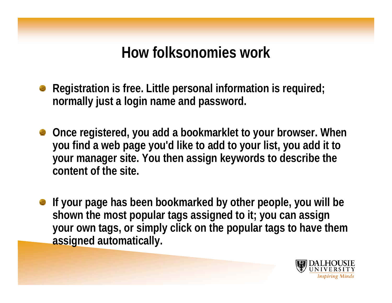### **How folksonomies work**

- **Registration is free. Little personal information is required; normally just a login name and password.**
- **Once registered, you add a bookmarklet to your browser. When you find a web page you'd like to add to your list, you add it to your manager site. You then assign keywords to describe the content of the site.**
- **If your page has been bookmarked by other people, you will be shown the most popular tags assigned to it; you can assign your own tags, or simply click on the popular tags to have them assigned automatically.**

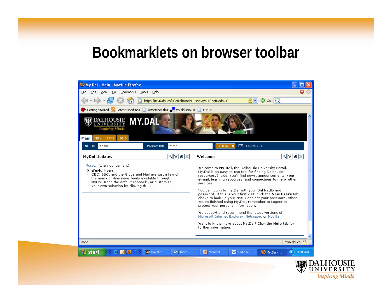#### **Bookmarklets on browser toolbar**

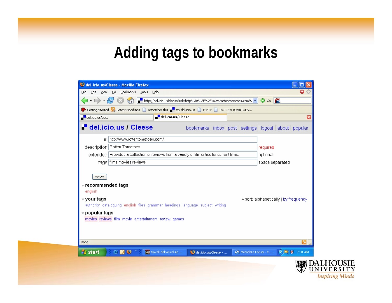# **Adding tags to bookmarks**

| Edit<br>View Go<br>Bookmarks Tools Help<br>File                                                                                                                                                                          | Е                       |
|--------------------------------------------------------------------------------------------------------------------------------------------------------------------------------------------------------------------------|-------------------------|
| $\langle \cdot   \cdot   \cdot \rangle \cdot   \cdot \rangle$<br>│ <mark>▅</mark> ▀▕http://del.icio.us/cleese?url=http%3A%2F%2Fwww.rottentomatoes.com% <mark>〜</mark><br>$\circ$ 6                                       |                         |
|                                                                                                                                                                                                                          |                         |
| Getting Started <b>by</b> Latest Headlines <b>by remember this we are my delicio</b> us <b>by Furl It B</b> ROTTEN TOMATOES<br>del.icio.us/Cleese<br>del.icio.us/post                                                    | $\overline{\mathbf{x}}$ |
| del.icio.us / Cleese<br>bookmarks   inbox   post   settings   logout   about   popular                                                                                                                                   |                         |
| url http://www.rottentomatoes.com/                                                                                                                                                                                       |                         |
| description   Rotten Tomatoes<br>required                                                                                                                                                                                |                         |
| extended Provides a collection of reviews from a variety of film critics for current films.<br>optional                                                                                                                  |                         |
| tags films movies reviews<br>space separated                                                                                                                                                                             |                         |
| <del>▼</del> recommended tags<br>english                                                                                                                                                                                 |                         |
| <del>⊽</del> your tags<br>» sort: alphabetically   by frequency<br>authority cataloguing english files grammar headings language subject writing<br>popular tags<br>movies reviews film movie entertainment review games |                         |
| Done                                                                                                                                                                                                                     | வ                       |
| $\circledcirc$ $\circledcirc$<br>Novell-delivered Ap<br><b>MS</b> Metadata Forum - O<br><b>H</b> start<br>del.icio.us/Cleese -                                                                                           | $\bigcirc$ D V 7:31 AM  |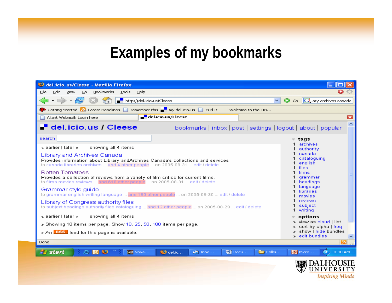#### **Examples of my bookmarks**

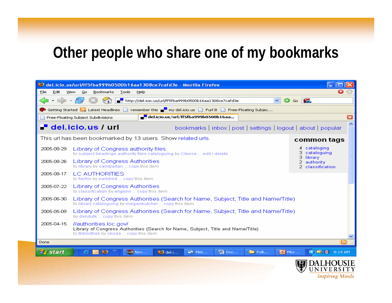#### **Other people who share one of my bookmarks**

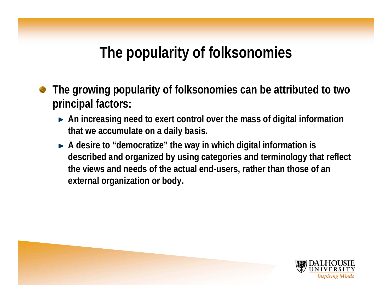## **The popularity of folksonomies**

- **The growing popularity of folksonomies can be attributed to two principal factors:** 
	- **An increasing need to exert control over the mass of digital information that we accumulate on a daily basis.**
	- ► A desire to "democratize" the way in which digital information is **described and organized by using categories and terminology that reflect the views and needs of the actual end-users, rather than those of an external organization or body.**



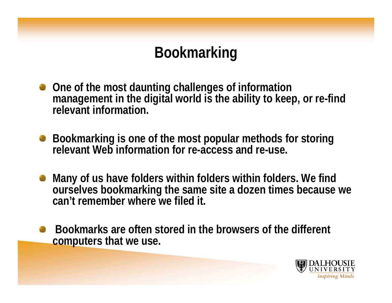# **Bookmarking**

- **One of the most daunting challenges of information management in the digital world is the ability to keep, or re-find relevant information.**
- **Bookmarking is one of the most popular methods for storing relevant Web information for re-access and re-use.**
- **Many of us have folders within folders within folders. We find ourselves bookmarking the same site a dozen times because we can't remember where we filed it.**
- **Bookmarks are often stored in the browsers of the different computers that we use.**

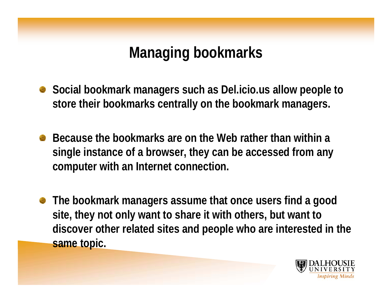# **Managing bookmarks**

- Social bookmark managers such as Del.icio.us allow people to **store their bookmarks centrally on the bookmark managers.**
- **Because the bookmarks are on the Web rather than within a single instance of a browser, they can be accessed from any computer with an Internet connection.**
- **The bookmark managers assume that once users find a good site, they not only want to share it with others, but want to discover other related sites and people who are interested in the same topic.**

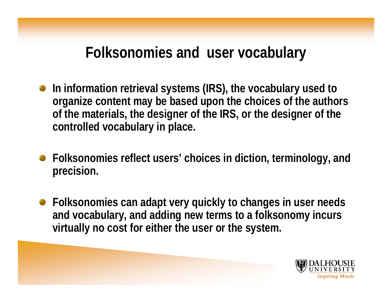### **Folksonomies and user vocabulary**

- **In information retrieval systems (IRS), the vocabulary used to organize content may be based upon the choices of the authors of the materials, the designer of the IRS, or the designer of the controlled vocabulary in place.**
- **Folksonomies reflect users' choices in diction, terminology, and precision.**
- **Folksonomies can adapt very quickly to changes in user needs and vocabulary, and adding new terms to a folksonomy incurs virtually no cost for either the user or the system.**

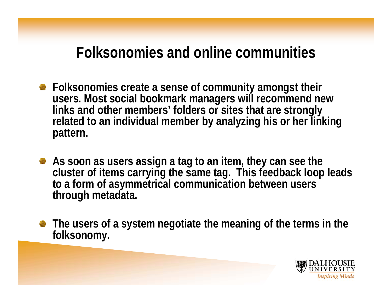### **Folksonomies and online communities**

- **Folksonomies create a sense of community amongst their users. Most social bookmark managers will recommend new links and other members' folders or sites that are strongly related to an individual member by analyzing his or her linking pattern.**
- **As soon as users assign a tag to an item, they can see the cluster of items carrying the same tag. This feedback loop leads to a form of asymmetrical communication between users through metadata.**
- **The users of a system negotiate the meaning of the terms in the folksonomy.**

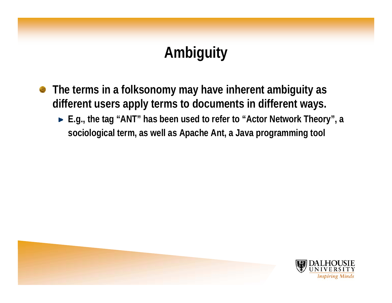# **Ambiguity**

- **The terms in a folksonomy may have inherent ambiguity as**   $\bullet$ **different users apply terms to documents in different ways.** 
	- ► E.g., the tag "ANT" has been used to refer to "Actor Network Theory", a **sociological term, as well as Apache Ant, a Java programming tool**

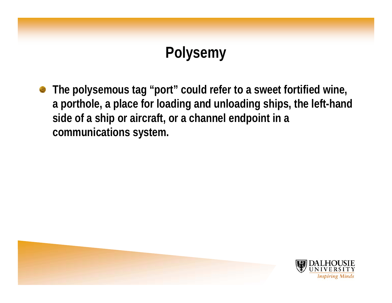# **Polysemy**

**The polysemous tag "port" could refer to a sweet fortified wine,**   $\bullet$ **a porthole, a place for loading and unloading ships, the left-hand side of a ship or aircraft, or a channel endpoint in a communications system.** 

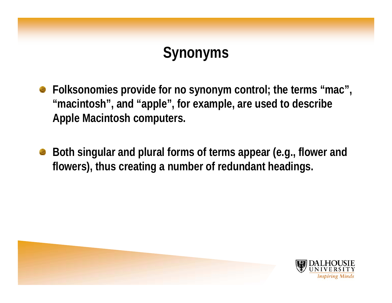# **Synonyms**

- **Folksonomies provide for no synonym control; the terms "mac", "macintosh", and "apple", for example, are used to describe Apple Macintosh computers.**
- **Both singular and plural forms of terms appear (e.g., flower and flowers), thus creating a number of redundant headings.**

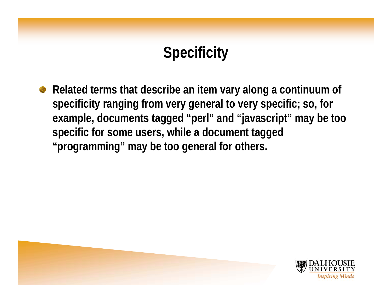# **Specificity**

**Related terms that describe an item vary along a continuum of specificity ranging from very general to very specific; so, for example, documents tagged "perl" and "javascript" may be too specific for some users, while a document tagged "programming" may be too general for others.** 

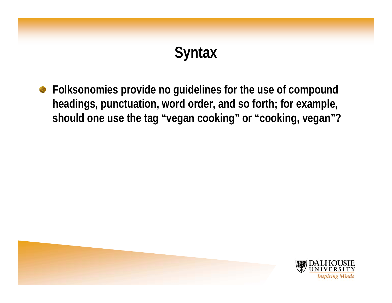# **Syntax**

**Folksonomies provide no guidelines for the use of compound headings, punctuation, word order, and so forth; for example, should one use the tag "vegan cooking" or "cooking, vegan"?** 

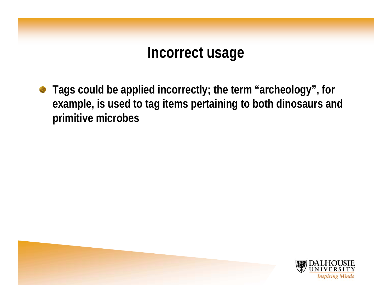### **Incorrect usage**

**Tags could be applied incorrectly; the term "archeology", for example, is used to tag items pertaining to both dinosaurs and primitive microbes**

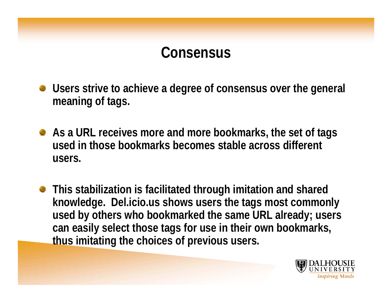#### **Consensus**

- **Users strive to achieve a degree of consensus over the general meaning of tags.**
- **As a URL receives more and more bookmarks, the set of tags used in those bookmarks becomes stable across different users.**
- **This stabilization is facilitated through imitation and shared knowledge. Del.icio.us shows users the tags most commonly used by others who bookmarked the same URL already; users can easily select those tags for use in their own bookmarks, thus imitating the choices of previous users.**

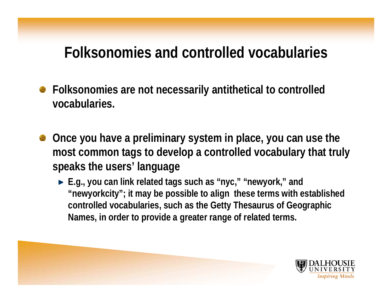### **Folksonomies and controlled vocabularies**

- **Folksonomies are not necessarily antithetical to controlled**   $\bullet$ **vocabularies.**
- **Once you have a preliminary system in place, you can use the most common tags to develop a controlled vocabulary that truly speaks the users' language**
	- ► E.g., you can link related tags such as "nyc," "newyork," and **"newyorkcity"; it may be possible to align these terms with established controlled vocabularies, such as the Getty Thesaurus of Geographic Names, in order to provide a greater range of related terms.**

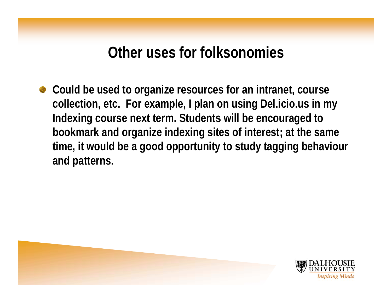#### **Other uses for folksonomies**

**Could be used to organize resources for an intranet, course collection, etc. For example, I plan on using Del.icio.us in my Indexing course next term. Students will be encouraged to bookmark and organize indexing sites of interest; at the same time, it would be a good opportunity to study tagging behaviour and patterns.**

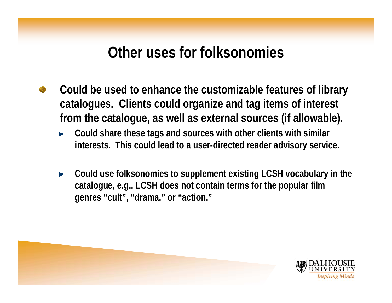#### **Other uses for folksonomies**

- **Could be used to enhance the customizable features of library catalogues. Clients could organize and tag items of interest from the catalogue, as well as external sources (if allowable).**
	- **Could share these tags and sources with other clients with similar interests. This could lead to a user-directed reader advisory service.**
	- **Could use folksonomies to supplement existing LCSH vocabulary in the**  Þ **catalogue, e.g., LCSH does not contain terms for the popular film genres "cult", "drama," or "action."**

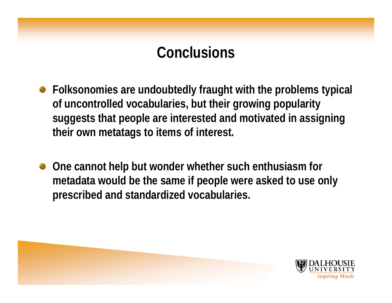## **Conclusions**

- **Folksonomies are undoubtedly fraught with the problems typical of uncontrolled vocabularies, but their growing popularity suggests that people are interested and motivated in assigning their own metatags to items of interest.**
- **One cannot help but wonder whether such enthusiasm for metadata would be the same if people were asked to use only prescribed and standardized vocabularies.**